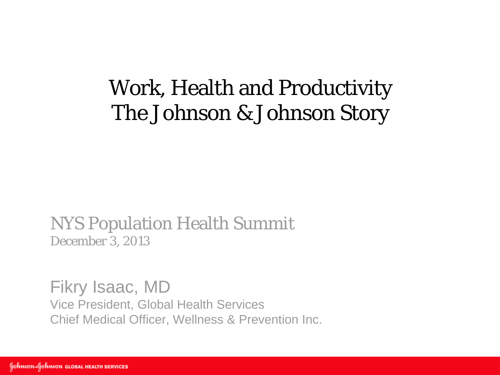## Work, Health and Productivity The Johnson & Johnson Story

NYS Population Health Summit December 3, 2013

Fikry Isaac, MD Vice President, Global Health Services Chief Medical Officer, Wellness & Prevention Inc.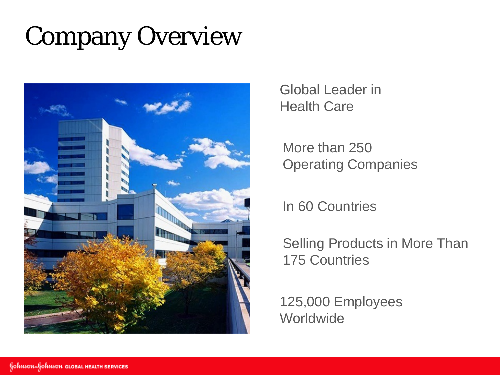# Company Overview



Global Leader in Health Care

More than 250 Operating Companies

In 60 Countries

Selling Products in More Than 175 Countries

125,000 Employees **Worldwide**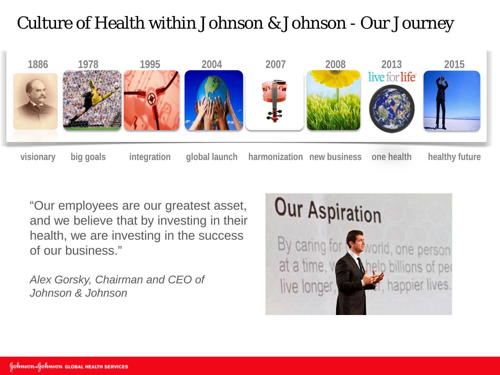### Culture of Health within Johnson & Johnson - Our Journey



"Our employees are our greatest asset, and we believe that by investing in their health, we are investing in the success of our business."

*Alex Gorsky, Chairman and CEO of Johnson & Johnson*

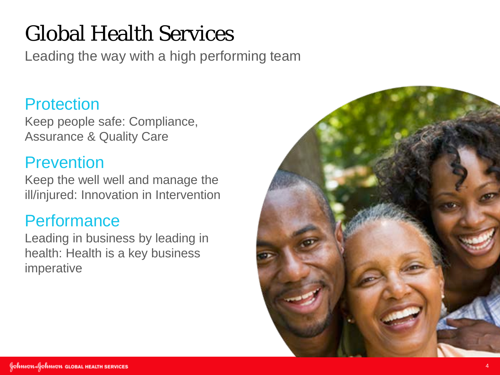# Global Health Services

Leading the way with a high performing team

#### **Protection**

Keep people safe: Compliance, Assurance & Quality Care

### **Prevention**

Keep the well well and manage the ill/injured: Innovation in Intervention

### **Performance**

Leading in business by leading in health: Health is a key business imperative

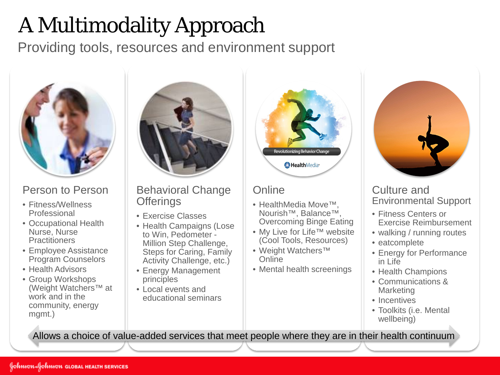# A Multimodality Approach

Providing tools, resources and environment support



#### Person to Person

- Fitness/Wellness Professional
- Occupational Health Nurse, Nurse **Practitioners**
- Employee Assistance Program Counselors
- Health Advisors
- Group Workshops (Weight Watchers™ at work and in the community, energy mgmt.)



Behavioral Change **Offerings** 

- Exercise Classes
- Health Campaigns (Lose to Win, Pedometer - Million Step Challenge, Steps for Caring, Family Activity Challenge, etc.)
- Energy Management principles
- Local events and educational seminars



#### **Online**

- HealthMedia Move™, Nourish™, Balance™, Overcoming Binge Eating
- My Live for Life™ website (Cool Tools, Resources)
- Weight Watchers™ **Online**
- Mental health screenings



#### Culture and Environmental Support

- Fitness Centers or Exercise Reimbursement
- walking / running routes
- eatcomplete
- Energy for Performance in Life
- Health Champions
- Communications & **Marketing**
- Incentives
- Toolkits (i.e. Mental wellbeing)

Allows a choice of value-added services that meet people where they are in their health continuum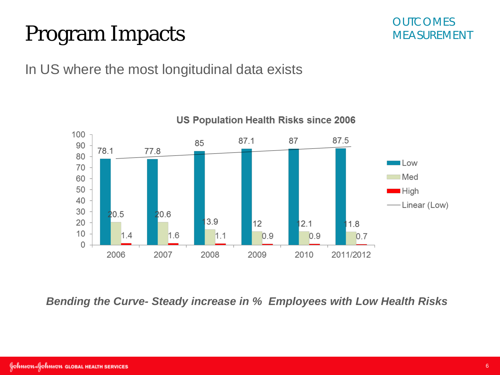## Program Impacts



In US where the most longitudinal data exists



*Bending the Curve- Steady increase in % Employees with Low Health Risks*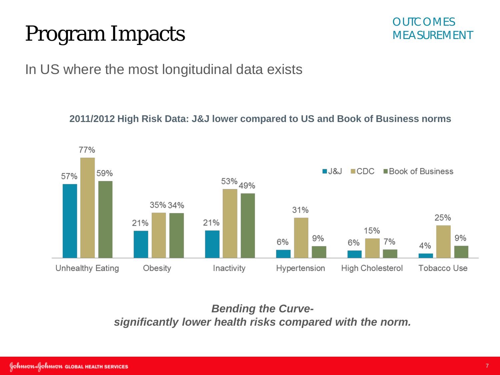## Program Impacts



In US where the most longitudinal data exists

**2011/2012 High Risk Data: J&J lower compared to US and Book of Business norms**



*Bending the Curvesignificantly lower health risks compared with the norm.*